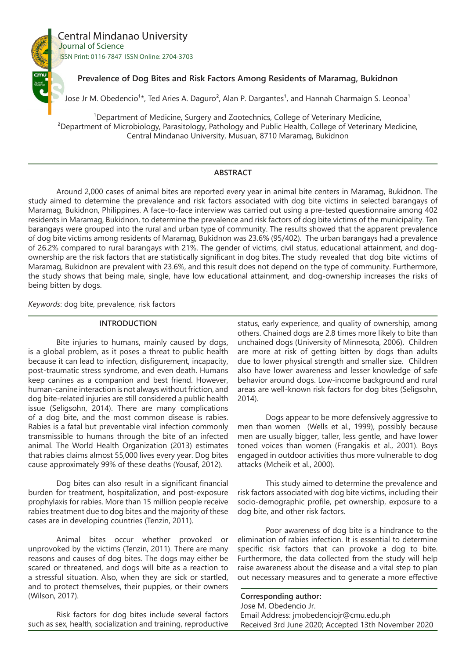

# **Prevalence of Dog Bites and Risk Factors Among Residents of Maramag, Bukidnon**

Jose Jr M. Obedencio<sup>1\*</sup>, Ted Aries A. Daguro<sup>2</sup>, Alan P. Dargantes<sup>1</sup>, and Hannah Charmaign S. Leonoa<sup>1</sup>

<sup>1</sup>Department of Medicine, Surgery and Zootechnics, College of Veterinary Medicine, ²Department of Microbiology, Parasitology, Pathology and Public Health, College of Veterinary Medicine, Central Mindanao University, Musuan, 8710 Maramag, Bukidnon

# **ABSTRACT**

Around 2,000 cases of animal bites are reported every year in animal bite centers in Maramag, Bukidnon. The study aimed to determine the prevalence and risk factors associated with dog bite victims in selected barangays of Maramag, Bukidnon, Philippines. A face-to-face interview was carried out using a pre-tested questionnaire among 402 residents in Maramag, Bukidnon, to determine the prevalence and risk factors of dog bite victims of the municipality. Ten barangays were grouped into the rural and urban type of community. The results showed that the apparent prevalence of dog bite victims among residents of Maramag, Bukidnon was 23.6% (95/402). The urban barangays had a prevalence of 26.2% compared to rural barangays with 21%. The gender of victims, civil status, educational attainment, and dogownership are the risk factors that are statistically significant in dog bites. The study revealed that dog bite victims of Maramag, Bukidnon are prevalent with 23.6%, and this result does not depend on the type of community. Furthermore, the study shows that being male, single, have low educational attainment, and dog-ownership increases the risks of being bitten by dogs.

*Keywords*: dog bite, prevalence, risk factors

### **INTRODUCTION**

Bite injuries to humans, mainly caused by dogs, is a global problem, as it poses a threat to public health because it can lead to infection, disfigurement, incapacity, post-traumatic stress syndrome, and even death. Humans keep canines as a companion and best friend. However, human-canine interaction is not always without friction, and dog bite-related injuries are still considered a public health issue (Seligsohn, 2014). There are many complications of a dog bite, and the most common disease is rabies. Rabies is a fatal but preventable viral infection commonly transmissible to humans through the bite of an infected animal. The World Health Organization (2013) estimates that rabies claims almost 55,000 lives every year. Dog bites cause approximately 99% of these deaths (Yousaf, 2012).

Dog bites can also result in a significant financial burden for treatment, hospitalization, and post-exposure prophylaxis for rabies. More than 15 million people receive rabies treatment due to dog bites and the majority of these cases are in developing countries (Tenzin, 2011).

Animal bites occur whether provoked or unprovoked by the victims (Tenzin, 2011). There are many reasons and causes of dog bites. The dogs may either be scared or threatened, and dogs will bite as a reaction to a stressful situation. Also, when they are sick or startled, and to protect themselves, their puppies, or their owners (Wilson, 2017).

Risk factors for dog bites include several factors such as sex, health, socialization and training, reproductive

status, early experience, and quality of ownership, among others. Chained dogs are 2.8 times more likely to bite than unchained dogs (University of Minnesota, 2006). Children are more at risk of getting bitten by dogs than adults due to lower physical strength and smaller size. Children also have lower awareness and lesser knowledge of safe behavior around dogs. Low-income background and rural areas are well-known risk factors for dog bites (Seligsohn, 2014).

Dogs appear to be more defensively aggressive to men than women (Wells et al., 1999), possibly because men are usually bigger, taller, less gentle, and have lower toned voices than women (Frangakis et al., 2001). Boys engaged in outdoor activities thus more vulnerable to dog attacks (Mcheik et al., 2000).

This study aimed to determine the prevalence and risk factors associated with dog bite victims, including their socio-demographic profile, pet ownership, exposure to a dog bite, and other risk factors.

Poor awareness of dog bite is a hindrance to the elimination of rabies infection. It is essential to determine specific risk factors that can provoke a dog to bite. Furthermore, the data collected from the study will help raise awareness about the disease and a vital step to plan out necessary measures and to generate a more effective

**Corresponding author:** Jose M. Obedencio Jr. Email Address: jmobedenciojr@cmu.edu.ph Received 3rd June 2020; Accepted 13th November 2020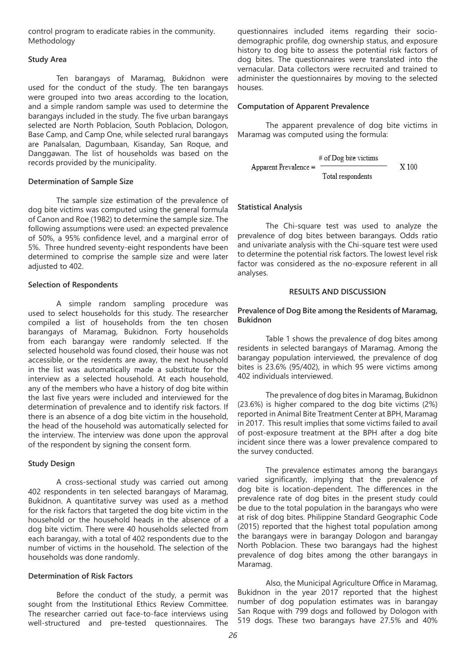control program to eradicate rabies in the community. Methodology

### **Study Area**

Ten barangays of Maramag, Bukidnon were used for the conduct of the study. The ten barangays were grouped into two areas according to the location, and a simple random sample was used to determine the barangays included in the study. The five urban barangays selected are North Poblacion, South Poblacion, Dologon, Base Camp, and Camp One, while selected rural barangays are Panalsalan, Dagumbaan, Kisanday, San Roque, and Danggawan. The list of households was based on the records provided by the municipality.

### **Determination of Sample Size**

The sample size estimation of the prevalence of dog bite victims was computed using the general formula of Canon and Roe (1982) to determine the sample size. The following assumptions were used: an expected prevalence of 50%, a 95% confidence level, and a marginal error of 5%. Three hundred seventy-eight respondents have been determined to comprise the sample size and were later adjusted to 402.

#### **Selection of Respondents**

A simple random sampling procedure was used to select households for this study. The researcher compiled a list of households from the ten chosen barangays of Maramag, Bukidnon. Forty households from each barangay were randomly selected. If the selected household was found closed, their house was not accessible, or the residents are away, the next household in the list was automatically made a substitute for the interview as a selected household. At each household, any of the members who have a history of dog bite within the last five years were included and interviewed for the determination of prevalence and to identify risk factors. If there is an absence of a dog bite victim in the household, the head of the household was automatically selected for the interview. The interview was done upon the approval of the respondent by signing the consent form.

### **Study Design**

A cross-sectional study was carried out among 402 respondents in ten selected barangays of Maramag, Bukidnon. A quantitative survey was used as a method for the risk factors that targeted the dog bite victim in the household or the household heads in the absence of a dog bite victim. There were 40 households selected from each barangay, with a total of 402 respondents due to the number of victims in the household. The selection of the households was done randomly.

# **Determination of Risk Factors**

Before the conduct of the study, a permit was sought from the Institutional Ethics Review Committee. The researcher carried out face-to-face interviews using well-structured and pre-tested questionnaires. The questionnaires included items regarding their sociodemographic profile, dog ownership status, and exposure history to dog bite to assess the potential risk factors of dog bites. The questionnaires were translated into the vernacular. Data collectors were recruited and trained to administer the questionnaires by moving to the selected houses.

#### **Computation of Apparent Prevalence**

The apparent prevalence of dog bite victims in Maramag was computed using the formula:

$$
4 \text{ of Dog bite"} = \frac{\text{# of Dog bite"}}{\text{Total respondents}}
$$

### **Statistical Analysis**

The Chi-square test was used to analyze the prevalence of dog bites between barangays. Odds ratio and univariate analysis with the Chi-square test were used to determine the potential risk factors. The lowest level risk factor was considered as the no-exposure referent in all analyses.

#### **RESULTS AND DISCUSSION**

### **Prevalence of Dog Bite among the Residents of Maramag, Bukidnon**

Table 1 shows the prevalence of dog bites among residents in selected barangays of Maramag. Among the barangay population interviewed, the prevalence of dog bites is 23.6% (95/402), in which 95 were victims among 402 individuals interviewed.

The prevalence of dog bites in Maramag, Bukidnon (23.6%) is higher compared to the dog bite victims (2%) reported in Animal Bite Treatment Center at BPH, Maramag in 2017. This result implies that some victims failed to avail of post-exposure treatment at the BPH after a dog bite incident since there was a lower prevalence compared to the survey conducted.

The prevalence estimates among the barangays varied significantly, implying that the prevalence of dog bite is location-dependent. The differences in the prevalence rate of dog bites in the present study could be due to the total population in the barangays who were at risk of dog bites. Philippine Standard Geographic Code (2015) reported that the highest total population among the barangays were in barangay Dologon and barangay North Poblacion. These two barangays had the highest prevalence of dog bites among the other barangays in Maramag.

Also, the Municipal Agriculture Office in Maramag, Bukidnon in the year 2017 reported that the highest number of dog population estimates was in barangay San Roque with 799 dogs and followed by Dologon with 519 dogs. These two barangays have 27.5% and 40%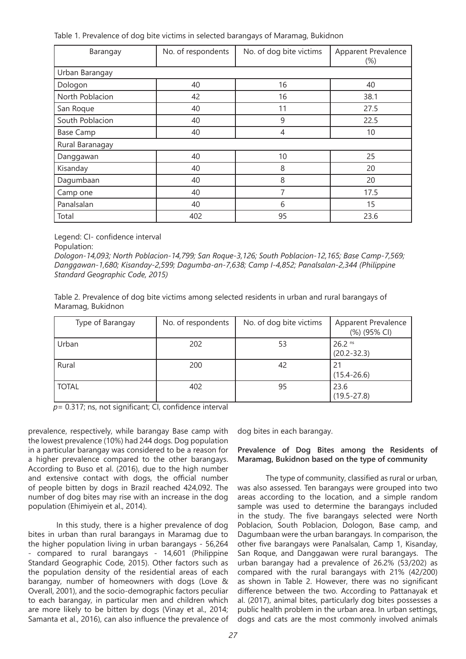Table 1. Prevalence of dog bite victims in selected barangays of Maramag, Bukidnon

| Barangay         | No. of respondents | No. of dog bite victims | Apparent Prevalence<br>$(\%)$ |  |  |  |
|------------------|--------------------|-------------------------|-------------------------------|--|--|--|
| Urban Barangay   |                    |                         |                               |  |  |  |
| Dologon          | 40                 | 16                      | 40                            |  |  |  |
| North Poblacion  | 42                 | 16                      | 38.1                          |  |  |  |
| San Roque        | 40                 | 11                      | 27.5                          |  |  |  |
| South Poblacion  | 40                 | 9                       | 22.5                          |  |  |  |
| <b>Base Camp</b> | 40                 | 4                       | 10                            |  |  |  |
| Rural Baranagay  |                    |                         |                               |  |  |  |
| Danggawan        | 40                 | 10                      | 25                            |  |  |  |
| Kisanday         | 40                 | 8                       | 20                            |  |  |  |
| Dagumbaan        | 40                 | 8                       | 20                            |  |  |  |
| Camp one         | 40                 | 7                       | 17.5                          |  |  |  |
| Panalsalan       | 40                 | 6                       | 15                            |  |  |  |
| Total            | 402                | 95                      | 23.6                          |  |  |  |

Legend: CI- confidence interval

Population:

*Dologon-14,093; North Poblacion-14,799; San Roque-3,126; South Poblacion-12,165; Base Camp-7,569; Danggawan-1,680; Kisanday-2,599; Dagumba-an-7,638; Camp I-4,852; Panalsalan-2,344 (Philippine Standard Geographic Code, 2015)*

Table 2. Prevalence of dog bite victims among selected residents in urban and rural barangays of Maramag, Bukidnon

| Type of Barangay | No. of respondents | No. of dog bite victims | Apparent Prevalence<br>(%) (95% CI) |
|------------------|--------------------|-------------------------|-------------------------------------|
| Urban            | 202                | 53                      | 26.2 ns<br>$(20.2 - 32.3)$          |
| Rural            | 200                | 42                      | $(15.4 - 26.6)$                     |
| <b>TOTAL</b>     | 402                | 95                      | 23.6<br>$(19.5 - 27.8)$             |

*p*= 0.317; ns, not significant; CI, confidence interval

prevalence, respectively, while barangay Base camp with the lowest prevalence (10%) had 244 dogs. Dog population in a particular barangay was considered to be a reason for a higher prevalence compared to the other barangays. According to Buso et al. (2016), due to the high number and extensive contact with dogs, the official number of people bitten by dogs in Brazil reached 424,092. The number of dog bites may rise with an increase in the dog population (Ehimiyein et al., 2014).

In this study, there is a higher prevalence of dog bites in urban than rural barangays in Maramag due to the higher population living in urban barangays - 56,264 - compared to rural barangays - 14,601 (Philippine Standard Geographic Code, 2015). Other factors such as the population density of the residential areas of each barangay, number of homeowners with dogs (Love & Overall, 2001), and the socio-demographic factors peculiar to each barangay, in particular men and children which are more likely to be bitten by dogs (Vinay et al., 2014; Samanta et al., 2016), can also influence the prevalence of dog bites in each barangay.

# **Prevalence of Dog Bites among the Residents of Maramag, Bukidnon based on the type of community**

The type of community, classified as rural or urban, was also assessed. Ten barangays were grouped into two areas according to the location, and a simple random sample was used to determine the barangays included in the study. The five barangays selected were North Poblacion, South Poblacion, Dologon, Base camp, and Dagumbaan were the urban barangays. In comparison, the other five barangays were Panalsalan, Camp 1, Kisanday, San Roque, and Danggawan were rural barangays. The urban barangay had a prevalence of 26.2% (53/202) as compared with the rural barangays with 21% (42/200) as shown in Table 2. However, there was no significant difference between the two. According to Pattanayak et al. (2017), animal bites, particularly dog bites possesses a public health problem in the urban area. In urban settings, dogs and cats are the most commonly involved animals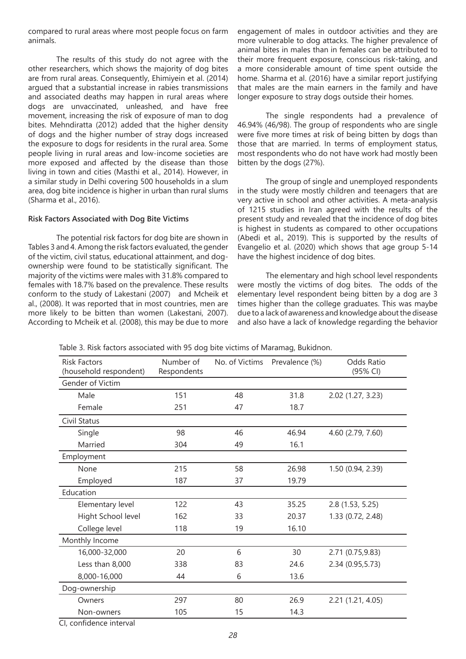compared to rural areas where most people focus on farm animals.

The results of this study do not agree with the other researchers, which shows the majority of dog bites are from rural areas. Consequently, Ehimiyein et al. (2014) argued that a substantial increase in rabies transmissions and associated deaths may happen in rural areas where dogs are unvaccinated, unleashed, and have free movement, increasing the risk of exposure of man to dog bites. Mehndiratta (2012) added that the higher density of dogs and the higher number of stray dogs increased the exposure to dogs for residents in the rural area. Some people living in rural areas and low-income societies are more exposed and affected by the disease than those living in town and cities (Masthi et al., 2014). However, in a similar study in Delhi covering 500 households in a slum area, dog bite incidence is higher in urban than rural slums (Sharma et al., 2016).

# **Risk Factors Associated with Dog Bite Victims**

The potential risk factors for dog bite are shown in Tables 3 and 4. Among the risk factors evaluated, the gender of the victim, civil status, educational attainment, and dogownership were found to be statistically significant. The majority of the victims were males with 31.8% compared to females with 18.7% based on the prevalence. These results conform to the study of Lakestani (2007) and Mcheik et al., (2008). It was reported that in most countries, men are more likely to be bitten than women (Lakestani, 2007). According to Mcheik et al. (2008), this may be due to more engagement of males in outdoor activities and they are more vulnerable to dog attacks. The higher prevalence of animal bites in males than in females can be attributed to their more frequent exposure, conscious risk-taking, and a more considerable amount of time spent outside the home. Sharma et al. (2016) have a similar report justifying that males are the main earners in the family and have longer exposure to stray dogs outside their homes.

The single respondents had a prevalence of 46.94% (46/98). The group of respondents who are single were five more times at risk of being bitten by dogs than those that are married. In terms of employment status, most respondents who do not have work had mostly been bitten by the dogs (27%).

The group of single and unemployed respondents in the study were mostly children and teenagers that are very active in school and other activities. A meta-analysis of 1215 studies in Iran agreed with the results of the present study and revealed that the incidence of dog bites is highest in students as compared to other occupations (Abedi et al., 2019). This is supported by the results of Evangelio et al. (2020) which shows that age group 5-14 have the highest incidence of dog bites.

The elementary and high school level respondents were mostly the victims of dog bites. The odds of the elementary level respondent being bitten by a dog are 3 times higher than the college graduates. This was maybe due to a lack of awareness and knowledge about the disease and also have a lack of knowledge regarding the behavior

| <b>Risk Factors</b><br>(household respondent) | Number of<br>Respondents | No. of Victims | Prevalence (%) | Odds Ratio<br>(95% CI) |
|-----------------------------------------------|--------------------------|----------------|----------------|------------------------|
| <b>Gender of Victim</b>                       |                          |                |                |                        |
| Male                                          | 151                      | 48             | 31.8           | 2.02 (1.27, 3.23)      |
| Female                                        | 251                      | 47             | 18.7           |                        |
| Civil Status                                  |                          |                |                |                        |
| Single                                        | 98                       | 46             | 46.94          | 4.60 (2.79, 7.60)      |
| Married                                       | 304                      | 49             | 16.1           |                        |
| Employment                                    |                          |                |                |                        |
| None                                          | 215                      | 58             | 26.98          | 1.50 (0.94, 2.39)      |
| Employed                                      | 187                      | 37             | 19.79          |                        |
| Education                                     |                          |                |                |                        |
| Elementary level                              | 122                      | 43             | 35.25          | 2.8(1.53, 5.25)        |
| Hight School level                            | 162                      | 33             | 20.37          | 1.33 (0.72, 2.48)      |
| College level                                 | 118                      | 19             | 16.10          |                        |
| Monthly Income                                |                          |                |                |                        |
| 16,000-32,000                                 | 20                       | 6              | 30             | 2.71 (0.75,9.83)       |
| Less than 8,000                               | 338                      | 83             | 24.6           | 2.34 (0.95,5.73)       |
| 8,000-16,000                                  | 44                       | 6              | 13.6           |                        |
| Dog-ownership                                 |                          |                |                |                        |
| Owners                                        | 297                      | 80             | 26.9           | 2.21(1.21, 4.05)       |
| Non-owners                                    | 105                      | 15             | 14.3           |                        |
| CI, confidence interval                       |                          |                |                |                        |

Table 3. Risk factors associated with 95 dog bite victims of Maramag, Bukidnon.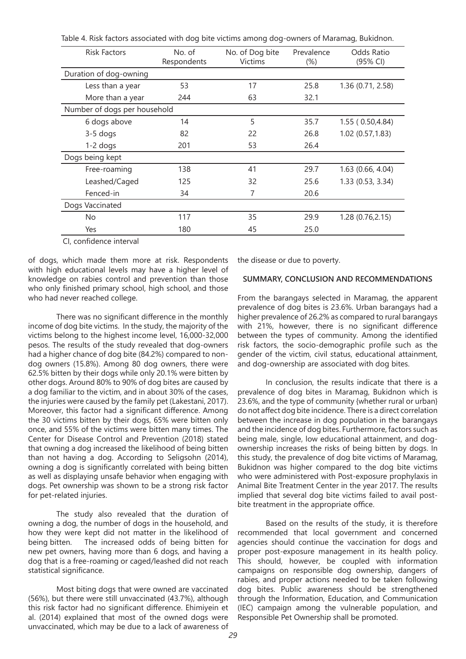| <b>Risk Factors</b>          | No. of<br>Respondents | No. of Dog bite<br><b>Victims</b> | Prevalence<br>$(\%)$ | Odds Ratio<br>(95% CI) |  |
|------------------------------|-----------------------|-----------------------------------|----------------------|------------------------|--|
| Duration of dog-owning       |                       |                                   |                      |                        |  |
| Less than a year             | 53                    | 17                                | 25.8                 | 1.36 (0.71, 2.58)      |  |
| More than a year             | 244                   | 63                                | 32.1                 |                        |  |
| Number of dogs per household |                       |                                   |                      |                        |  |
| 6 dogs above                 | 14                    | 5                                 | 35.7                 | 1.55(0.50, 4.84)       |  |
| $3-5$ dogs                   | 82                    | 22                                | 26.8                 | 1.02(0.57, 1.83)       |  |
| $1-2$ dogs                   | 201                   | 53                                | 26.4                 |                        |  |
| Dogs being kept              |                       |                                   |                      |                        |  |
| Free-roaming                 | 138                   | 41                                | 29.7                 | 1.63 (0.66, 4.04)      |  |
| Leashed/Caged                | 125                   | 32                                | 25.6                 | 1.33 (0.53, 3.34)      |  |
| Fenced-in                    | 34                    | 7                                 | 20.6                 |                        |  |
| Dogs Vaccinated              |                       |                                   |                      |                        |  |
| No                           | 117                   | 35                                | 29.9                 | 1.28 (0.76,2.15)       |  |
| Yes                          | 180                   | 45                                | 25.0                 |                        |  |

Table 4. Risk factors associated with dog bite victims among dog-owners of Maramag, Bukidnon.

CI, confidence interval

of dogs, which made them more at risk. Respondents with high educational levels may have a higher level of knowledge on rabies control and prevention than those who only finished primary school, high school, and those who had never reached college.

There was no significant difference in the monthly income of dog bite victims. In the study, the majority of the victims belong to the highest income level, 16,000-32,000 pesos. The results of the study revealed that dog-owners had a higher chance of dog bite (84.2%) compared to nondog owners (15.8%). Among 80 dog owners, there were 62.5% bitten by their dogs while only 20.1% were bitten by other dogs. Around 80% to 90% of dog bites are caused by a dog familiar to the victim, and in about 30% of the cases, the injuries were caused by the family pet (Lakestani, 2017). Moreover, this factor had a significant difference. Among the 30 victims bitten by their dogs, 65% were bitten only once, and 55% of the victims were bitten many times. The Center for Disease Control and Prevention (2018) stated that owning a dog increased the likelihood of being bitten than not having a dog. According to Seligsohn (2014), owning a dog is significantly correlated with being bitten as well as displaying unsafe behavior when engaging with dogs. Pet ownership was shown to be a strong risk factor for pet-related injuries.

The study also revealed that the duration of owning a dog, the number of dogs in the household, and how they were kept did not matter in the likelihood of being bitten. The increased odds of being bitten for new pet owners, having more than 6 dogs, and having a dog that is a free-roaming or caged/leashed did not reach statistical significance.

Most biting dogs that were owned are vaccinated (56%), but there were still unvaccinated (43.7%), although this risk factor had no significant difference. Ehimiyein et al. (2014) explained that most of the owned dogs were unvaccinated, which may be due to a lack of awareness of the disease or due to poverty.

#### **SUMMARY, CONCLUSION AND RECOMMENDATIONS**

From the barangays selected in Maramag, the apparent prevalence of dog bites is 23.6%. Urban barangays had a higher prevalence of 26.2% as compared to rural barangays with 21%, however, there is no significant difference between the types of community. Among the identified risk factors, the socio-demographic profile such as the gender of the victim, civil status, educational attainment, and dog-ownership are associated with dog bites.

In conclusion, the results indicate that there is a prevalence of dog bites in Maramag, Bukidnon which is 23.6%, and the type of community {whether rural or urban} do not affect dog bite incidence. There is a direct correlation between the increase in dog population in the barangays and the incidence of dog bites. Furthermore, factors such as being male, single, low educational attainment, and dogownership increases the risks of being bitten by dogs. In this study, the prevalence of dog bite victims of Maramag, Bukidnon was higher compared to the dog bite victims who were administered with Post-exposure prophylaxis in Animal Bite Treatment Center in the year 2017. The results implied that several dog bite victims failed to avail postbite treatment in the appropriate office.

Based on the results of the study, it is therefore recommended that local government and concerned agencies should continue the vaccination for dogs and proper post-exposure management in its health policy. This should, however, be coupled with information campaigns on responsible dog ownership, dangers of rabies, and proper actions needed to be taken following dog bites. Public awareness should be strengthened through the Information, Education, and Communication (IEC) campaign among the vulnerable population, and Responsible Pet Ownership shall be promoted.